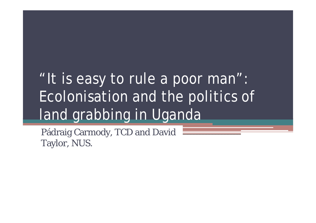# "It is easy to rule a poor man": Ecolonisation and the politics of land grabbing in Uganda

Pádraig Carmody, TCD and David Taylor, NUS.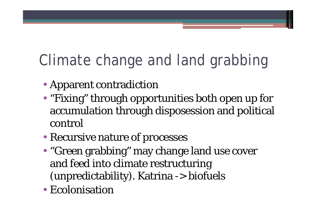# Climate change and land grabbing

- Apparent contradiction
- "Fixing" through opportunities both open up for accumulation through disposession and political control
- Recursive nature of processes
- "Green grabbing" may change land use cover and feed into climate restructuring (unpredictability). Katrina -> biofuels
- Ecolonisation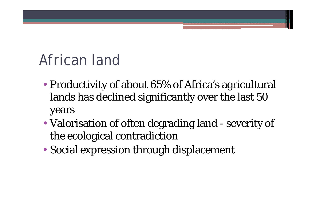# African land

- Productivity of about 65% of Africa's agricultural lands has declined significantly over the last 50 years
- Valorisation of often degrading land severity of the ecological contradiction
- Social expression through displacement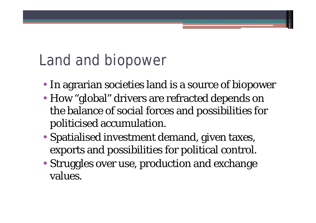#### Land and biopower

- In agrarian societies land is a source of biopower
- How "global" drivers are refracted depends on the balance of social forces and possibilities for politicised accumulation.
- Spatialised investment demand, given taxes, exports and possibilities for political control.
- Struggles over use, production and exchange values.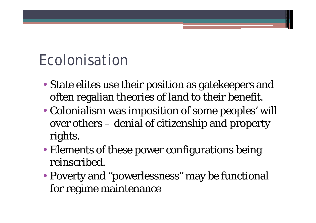#### Ecolonisation

- State elites use their position as gatekeepers and often regalian theories of land to their benefit.
- Colonialism was imposition of some peoples' will over others – denial of citizenship and property rights.
- Elements of these power configurations being reinscribed.
- Poverty and "powerlessness" may be functional for regime maintenance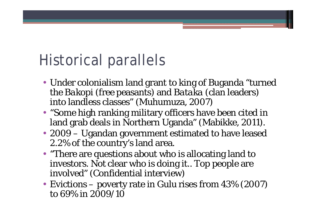# Historical parallels

- Under colonialism land grant to king of Buganda "turned the *Bakopi* (free peasants) and *Bataka* (clan leaders) into landless classes" (Muhumuza, 2007)
- "Some high ranking military officers have been cited in land grab deals in Northern Uganda" (Mabikke, 2011).
- 2009 Ugandan government estimated to have leased 2.2% of the country's land area.
- "There are questions about who is allocating land to investors. Not clear who is doing it.. Top people are involved" (Confidential interview)
- Evictions poverty rate in Gulu rises from 43% (2007) to 69% in 2009/10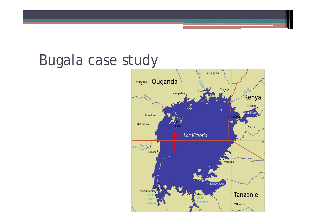#### Bugala case study

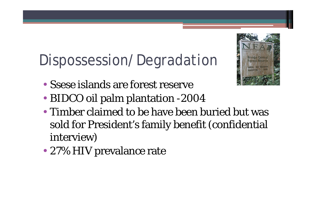# Dispossession/Degradation



- Ssese islands are forest reserve
- BIDCO oil palm plantation -2004
- Timber claimed to be have been buried but was sold for President's family benefit (confidential interview)
- 27% HIV prevalance rate